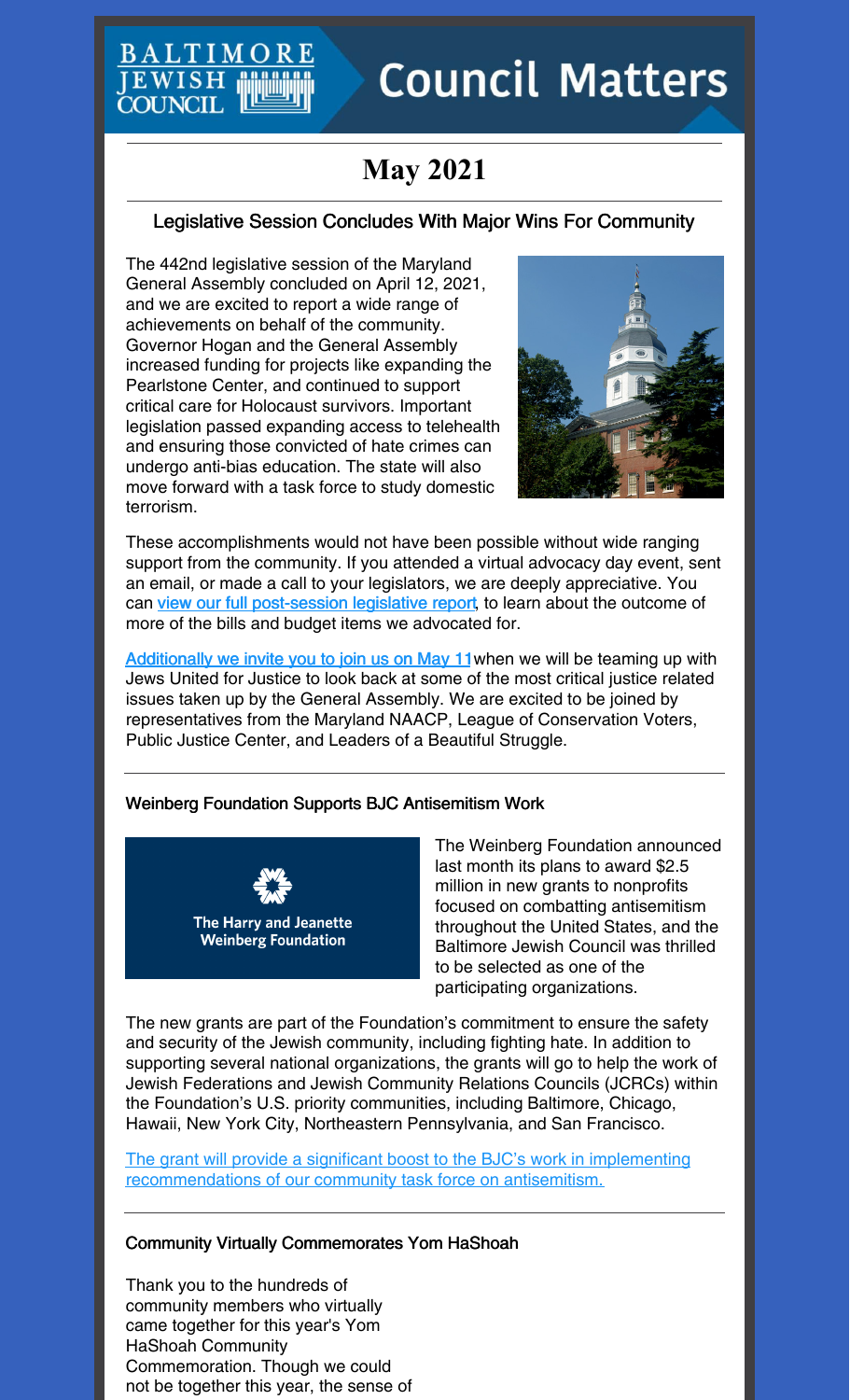# **BALTIMC** JEWISH **COUNCIL**

# **Council Matters**

# **May 2021**

### Legislative Session Concludes With Major Wins For Community

The 442nd legislative session of the Maryland General Assembly concluded on April 12, 2021, and we are excited to report a wide range of achievements on behalf of the community. Governor Hogan and the General Assembly increased funding for projects like expanding the Pearlstone Center, and continued to support critical care for Holocaust survivors. Important legislation passed expanding access to telehealth and ensuring those convicted of hate crimes can undergo anti-bias education. The state will also move forward with a task force to study domestic terrorism.



These accomplishments would not have been possible without wide ranging support from the community. If you attended a virtual advocacy day event, sent an email, or made a call to your legislators, we are deeply appreciative. You can view our full [post-session](https://www.baltjc.org/wp-content/uploads/2021/04/EndOfSessionReport_2021.pdf) legislative report, to learn about the outcome of more of the bills and budget items we advocated for.

[Additionally](https://jcfb.zoom.us/meeting/register/tJUldO-gpzMqGtcO80emh-aqtrix-0NVStyh) we invite you to join us on May 11 when we will be teaming up with Jews United for Justice to look back at some of the most critical justice related issues taken up by the General Assembly. We are excited to be joined by representatives from the Maryland NAACP, League of Conservation Voters, Public Justice Center, and Leaders of a Beautiful Struggle.

#### Weinberg Foundation Supports BJC Antisemitism Work



The Weinberg Foundation announced last month its plans to award \$2.5 million in new grants to nonprofits focused on combatting antisemitism throughout the United States, and the Baltimore Jewish Council was thrilled to be selected as one of the participating organizations.

The new grants are part of the Foundation's commitment to ensure the safety and security of the Jewish community, including fighting hate. In addition to supporting several national organizations, the grants will go to help the work of Jewish Federations and Jewish Community Relations Councils (JCRCs) within the Foundation's U.S. priority communities, including Baltimore, Chicago, Hawaii, New York City, Northeastern Pennsylvania, and San Francisco.

The grant will provide a significant boost to the BJC's work in implementing [recommendations](https://hjweinbergfoundation.org/news/weinberg-foundation-commits-2-5-million-to-nonprofits-combatting-antisemitism-throughout-the-united-states) of our community task force on antisemitism.

#### Community Virtually Commemorates Yom HaShoah

Thank you to the hundreds of community members who virtually came together for this year's Yom HaShoah Community Commemoration. Though we could not be together this year, the sense of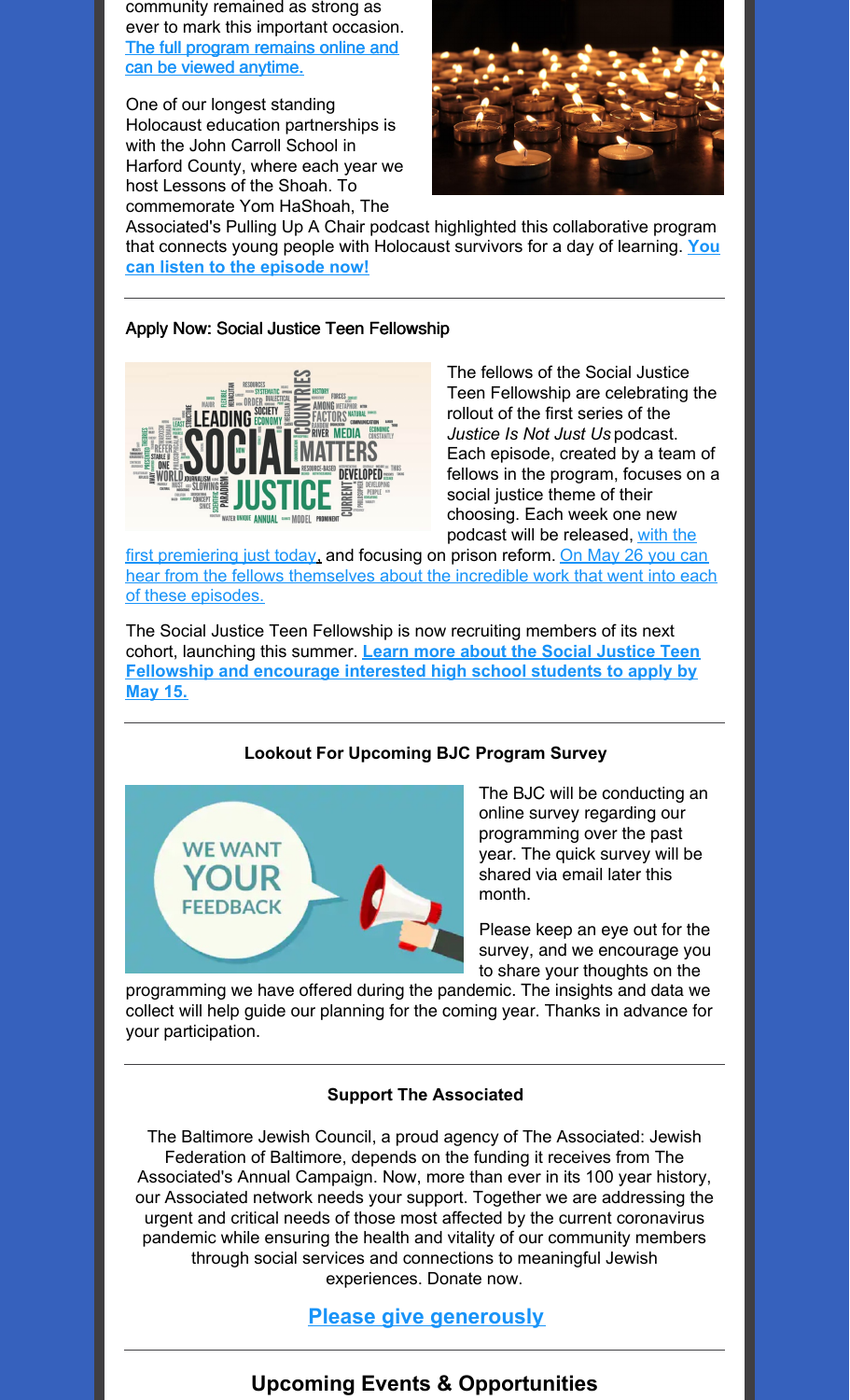community remained as strong as ever to mark this important occasion. The full program remains online and can be viewed [anytime.](https://youtu.be/AimpRaq4EQ8)

One of our longest standing Holocaust education partnerships is with the John Carroll School in Harford County, where each year we host Lessons of the Shoah. To commemorate Yom HaShoah, The



Associated's Pulling Up A Chair podcast highlighted this collaborative program that connects young people with [Holocaust](https://podcasts.apple.com/us/podcast/lessons-of-the-shoah-holocaust/id1497798992?i=1000516146950) survivors for a day of learning. **You can listen to the episode now!**

#### Apply Now: Social Justice Teen Fellowship



The fellows of the Social Justice Teen Fellowship are celebrating the rollout of the first series of the *Justice Is Not Just Us* podcast. Each episode, created by a team of fellows in the program, focuses on a social justice theme of their choosing. Each week one new podcast will be released, with the

first [premiering](https://www.spreaker.com/user/14437454/prison-reform-ahmed-final) just today[,](https://www.spreaker.com/user/14437454/prison-reform-ahmed-final) and focusing on prison reform. On May 26 you can hear from the fellows [themselves](https://jcfb.zoom.us/meeting/register/tJIqf-urqTwuGdYsskLnAss0HSyWh6oC418S) about the incredible work that went into each of these episodes.

The Social Justice Teen Fellowship is now recruiting members of its next cohort, launching this summer. **Learn more about the Social Justice Teen [Fellowship](https://www.baltjc.org/what-we-do/community-relations/sjtf/) and encourage interested high school students to apply by May 15.**

#### **Lookout For Upcoming BJC Program Survey**



The BJC will be conducting an online survey regarding our programming over the past year. The quick survey will be shared via email later this month.

Please keep an eye out for the survey, and we encourage you to share your thoughts on the

programming we have offered during the pandemic. The insights and data we collect will help guide our planning for the coming year. Thanks in advance for your participation.

#### **Support The Associated**

The Baltimore Jewish Council, a proud agency of The Associated: Jewish Federation of Baltimore, depends on the funding it receives from The Associated's Annual Campaign. Now, more than ever in its 100 year history, our Associated network needs your support. Together we are addressing the urgent and critical needs of those most affected by the current coronavirus pandemic while ensuring the health and vitality of our community members through social services and connections to meaningful Jewish experiences. Donate now.

**Please give [generously](https://payments.associated.org/giving-tuesday)**

## **Upcoming Events & Opportunities**